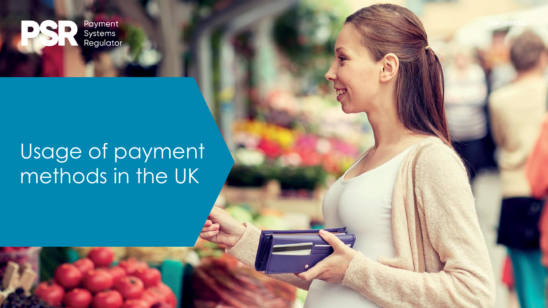

## Usage of payment methods in the UK

**PSR OFFICIAL**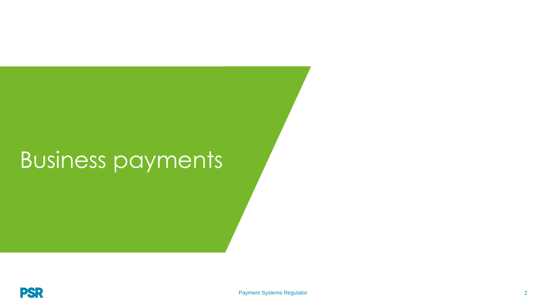# Business payments

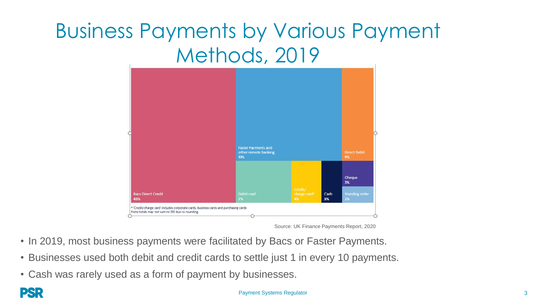## Business Payments by Various Payment Methods, 2019



Source: UK Finance Payments Report, 2020

- In 2019, most business payments were facilitated by Bacs or Faster Payments.
- Businesses used both debit and credit cards to settle just 1 in every 10 payments.
- Cash was rarely used as a form of payment by businesses.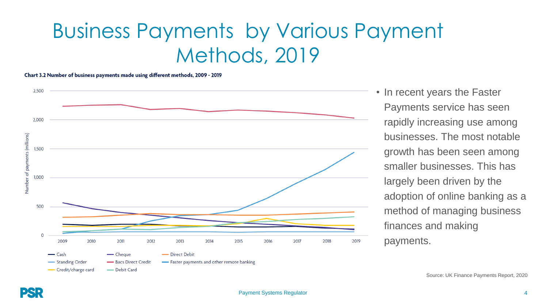## Business Payments by Various Payment Methods, 2019

Chart 3.2 Number of business payments made using different methods, 2009 - 2019



Source: UK Finance Payments Report, 2020

Payments service has seen

rapidly increasing use among

businesses. The most notable

growth has been seen among

smaller businesses. This has

adoption of online banking as a

method of managing business

largely been driven by the

finances and making

payments.

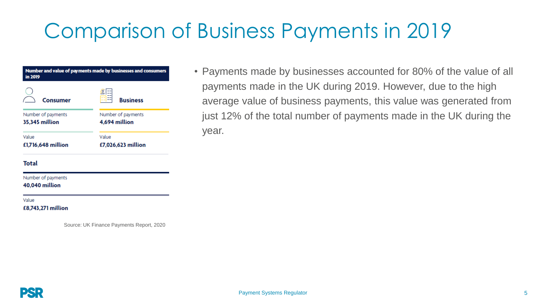## Comparison of Business Payments in 2019

| Number and value of payments made by businesses and consumers<br>in 2019 |                    |  |
|--------------------------------------------------------------------------|--------------------|--|
| Consumer                                                                 | <b>Business</b>    |  |
| Number of payments                                                       | Number of payments |  |
| 35,345 million                                                           | 4,694 million      |  |
| Value                                                                    | Value              |  |
| £1,716,648 million                                                       | £7,026,623 million |  |

#### **Total**

Number of payments **40,040 million** 

Value

£8,743,271 million

Source: UK Finance Payments Report, 2020

• Payments made by businesses accounted for 80% of the value of all payments made in the UK during 2019. However, due to the high average value of business payments, this value was generated from just 12% of the total number of payments made in the UK during the year.

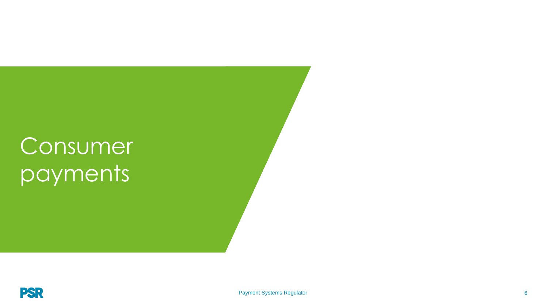# Consumer payments

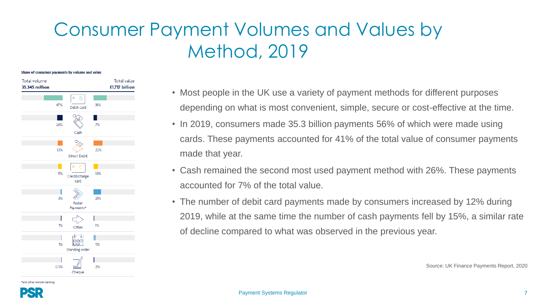#### Consumer Payment Volumes and Values by Method, 2019

Share of consumer payments by volume and value



- Most people in the UK use a variety of payment methods for different purposes depending on what is most convenient, simple, secure or cost-effective at the time.
- In 2019, consumers made 35.3 billion payments 56% of which were made using cards. These payments accounted for 41% of the total value of consumer payments made that year.
- Cash remained the second most used payment method with 26%. These payments accounted for 7% of the total value.
- The number of debit card payments made by consumers increased by 12% during 2019, while at the same time the number of cash payments fell by 15%, a similar rate of decline compared to what was observed in the previous year.

Source: UK Finance Payments Report, 2020

and other remote banking

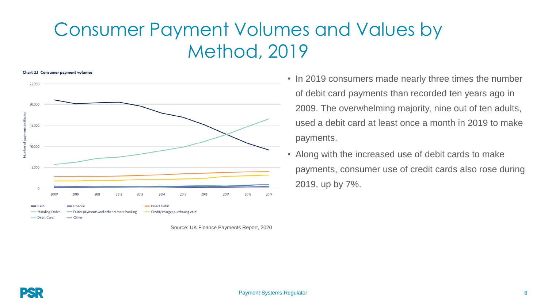#### Consumer Payment Volumes and Values by Method, 2019



- In 2019 consumers made nearly three times the number of debit card payments than recorded ten years ago in 2009. The overwhelming majority, nine out of ten adults, used a debit card at least once a month in 2019 to make payments.
- Along with the increased use of debit cards to make payments, consumer use of credit cards also rose during 2019, up by 7%.

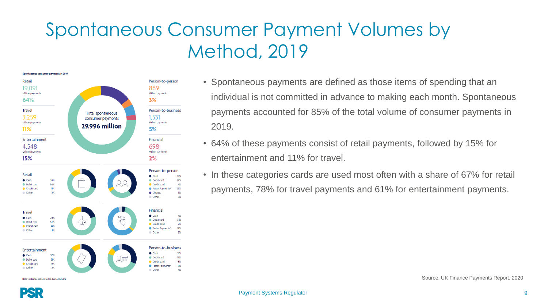#### Spontaneous Consumer Payment Volumes by Method, 2019



Note totals may not sum to 100 due to rounding

- Spontaneous payments are defined as those items of spending that an individual is not committed in advance to making each month. Spontaneous payments accounted for 85% of the total volume of consumer payments in 2019.
- 64% of these payments consist of retail payments, followed by 15% for entertainment and 11% for travel.
- In these categories cards are used most often with a share of 67% for retail payments, 78% for travel payments and 61% for entertainment payments.

Source: UK Finance Payments Report, 2020

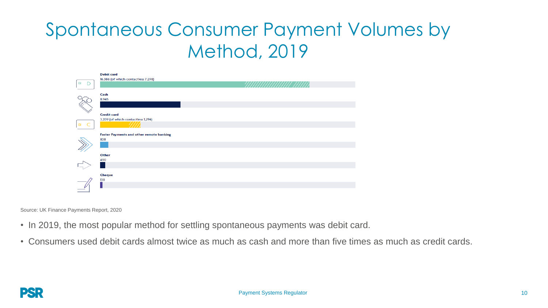#### Spontaneous Consumer Payment Volumes by Method, 2019

|   | <b>Debit card</b>                        |  |
|---|------------------------------------------|--|
|   | 16,386 (of which contactless 7,298)      |  |
| Œ |                                          |  |
|   |                                          |  |
|   | Cash                                     |  |
|   | 8,945                                    |  |
|   |                                          |  |
|   |                                          |  |
|   | <b>Credit card</b>                       |  |
|   | 3,209 (of which contactless 1,294)       |  |
| Œ |                                          |  |
|   |                                          |  |
|   | Faster Payments and other remote banking |  |
|   | 828                                      |  |
|   |                                          |  |
|   |                                          |  |
|   | Other                                    |  |
|   | 490                                      |  |
|   |                                          |  |
|   |                                          |  |
|   | <b>Cheque</b>                            |  |
|   | 138                                      |  |
|   |                                          |  |
|   |                                          |  |
|   |                                          |  |

Source: UK Finance Payments Report, 2020

- In 2019, the most popular method for settling spontaneous payments was debit card.
- Consumers used debit cards almost twice as much as cash and more than five times as much as credit cards.

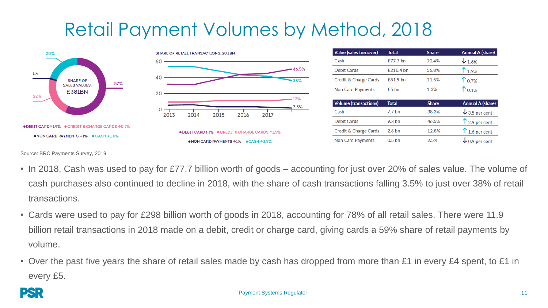### Retail Payment Volumes by Method, 2018



- In 2018, Cash was used to pay for £77.7 billion worth of goods accounting for just over 20% of sales value. The volume of cash purchases also continued to decline in 2018, with the share of cash transactions falling 3.5% to just over 38% of retail transactions.
- Cards were used to pay for £298 billion worth of goods in 2018, accounting for 78% of all retail sales. There were 11.9 billion retail transactions in 2018 made on a debit, credit or charge card, giving cards a 59% share of retail payments by volume.
- Over the past five years the share of retail sales made by cash has dropped from more than £1 in every £4 spent, to £1 in every £5.

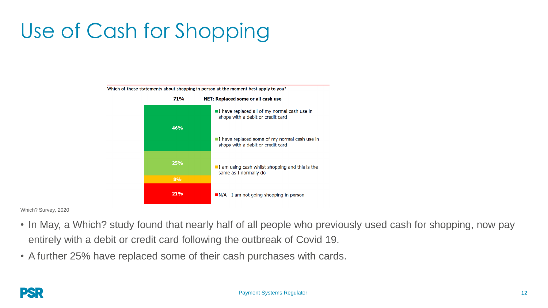## Use of Cash for Shopping



Which? Survey, 2020

- In May, a Which? study found that nearly half of all people who previously used cash for shopping, now pay entirely with a debit or credit card following the outbreak of Covid 19.
- A further 25% have replaced some of their cash purchases with cards.

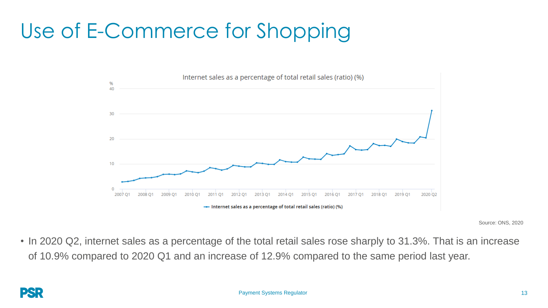## Use of E-Commerce for Shopping



Source: ONS, 2020

• In 2020 Q2, internet sales as a percentage of the total retail sales rose sharply to 31.3%. That is an increase of 10.9% compared to 2020 Q1 and an increase of 12.9% compared to the same period last year.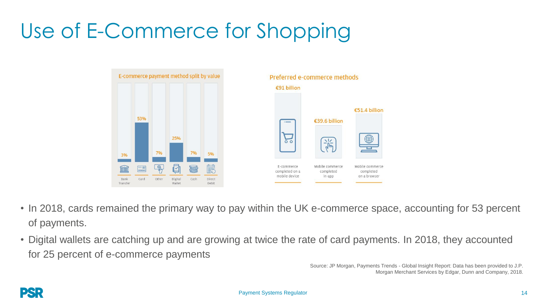## Use of E-Commerce for Shopping



- In 2018, cards remained the primary way to pay within the UK e-commerce space, accounting for 53 percent of payments.
- Digital wallets are catching up and are growing at twice the rate of card payments. In 2018, they accounted for 25 percent of e-commerce payments

Source: JP Morgan, Payments Trends - Global Insight Report: Data has been provided to J.P. Morgan Merchant Services by Edgar, Dunn and Company, 2018.

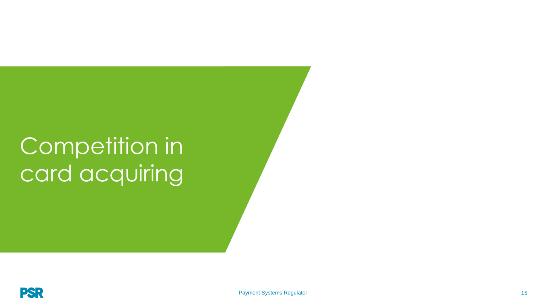# Competition in card acquiring

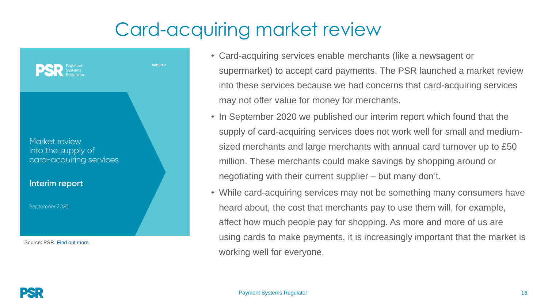### Card-acquiring market review



- Card-acquiring services enable merchants (like a newsagent or supermarket) to accept card payments. The PSR launched a market review into these services because we had concerns that card-acquiring services may not offer value for money for merchants.
- In September 2020 we published our interim report which found that the supply of card-acquiring services does not work well for small and mediumsized merchants and large merchants with annual card turnover up to £50 million. These merchants could make savings by shopping around or negotiating with their current supplier – but many don't.
- While card-acquiring services may not be something many consumers have heard about, the cost that merchants pay to use them will, for example, affect how much people pay for shopping. As more and more of us are using cards to make payments, it is increasingly important that the market is working well for everyone.

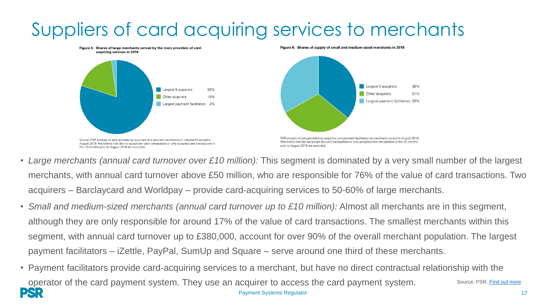### Suppliers of card acquiring services to merchants



- *Large merchants (annual card turnover over £10 million):* This segment is dominated by a very small number of the largest merchants, with annual card turnover above £50 million, who are responsible for 76% of the value of card transactions. Two acquirers – Barclaycard and Worldpay – provide card-acquiring services to 50-60% of large merchants.
- *Small and medium-sized merchants (annual card turnover up to £10 million):* Almost all merchants are in this segment, although they are only responsible for around 17% of the value of card transactions. The smallest merchants within this segment, with annual card turnover up to £380,000, account for over 90% of the overall merchant population. The largest payment facilitators – iZettle, PayPal, SumUp and Square – serve around one third of these merchants.
- Payment Systems Regulator • Payment facilitators provide card-acquiring services to a merchant, but have no direct contractual relationship with the operator of the card payment system. They use an acquirer to access the card payment system. Source: PSR. [Find out more](https://www.psr.org.uk/psr-publications/market-reviews/mr181.7/market-review-into-the-supply-of-card-acquiring-services-interim-report)